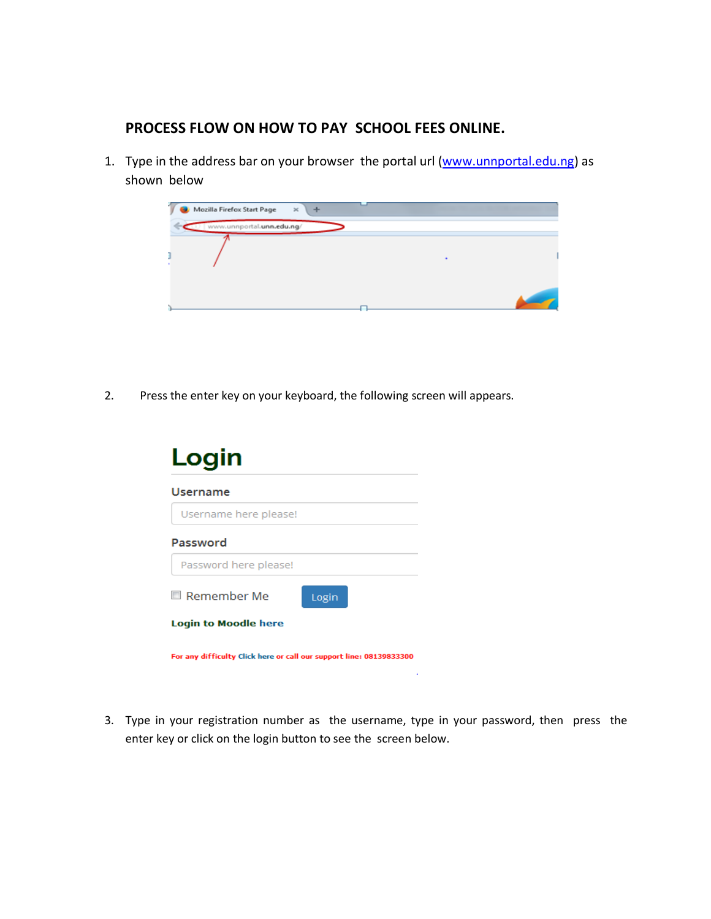## **PROCESS FLOW ON HOW TO PAY SCHOOL FEES ONLINE.**

1. Type in the address bar on your browser the portal url [\(www.unnportal.edu.ng\)](http://www.unnportal.edu.ng/) as shown below

| Mozilla Firefox Start Page | $\!\times\!$ |  |
|----------------------------|--------------|--|
| www.unnportal.unn.edu.ng/  |              |  |
|                            |              |  |
|                            |              |  |
|                            |              |  |

2. Press the enter key on your keyboard, the following screen will appears.

| Login                                                               |
|---------------------------------------------------------------------|
| Username                                                            |
| Username here please!                                               |
| Password                                                            |
| Password here please!                                               |
| $\Box$ Remember Me<br>Login                                         |
| <b>Login to Moodle here</b>                                         |
| For any difficulty Click here or call our support line: 08139833300 |

3. Type in your registration number as the username, type in your password, then press the enter key or click on the login button to see the screen below.

 $\sim 10^{-11}$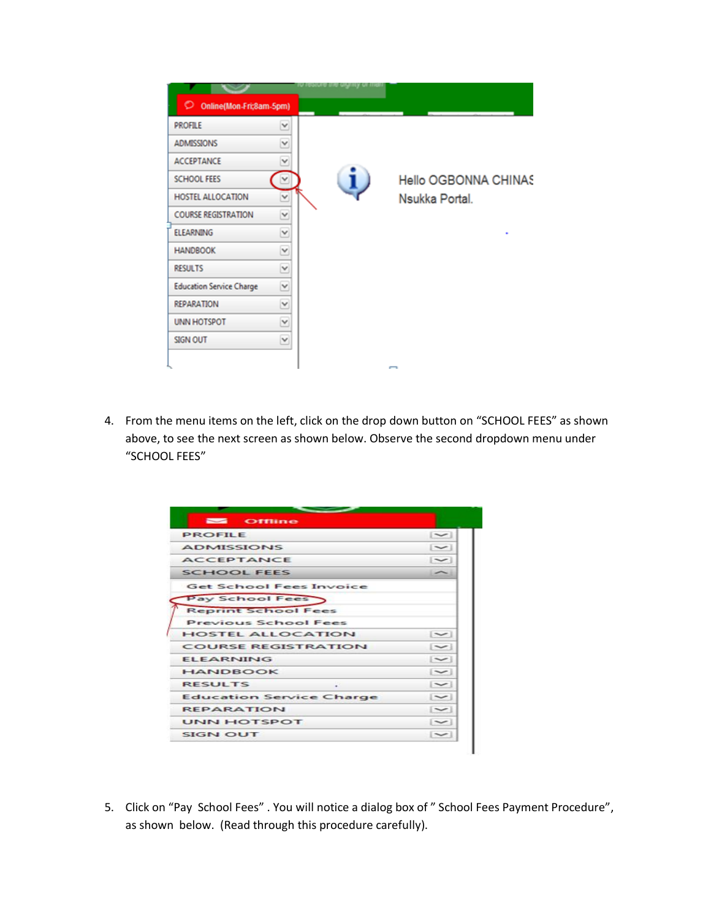|                                 |   | apsima sua civilità di ti |                      |
|---------------------------------|---|---------------------------|----------------------|
| O<br>Online(Mon-Fri;8am-5pm)    |   |                           |                      |
| <b>PROFILE</b>                  | Y |                           |                      |
| <b>ADMISSIONS</b>               | ٧ |                           |                      |
| <b>ACCEPTANCE</b>               | v |                           |                      |
| <b>SCHOOL FEES</b>              |   |                           | Hello OGBONNA CHINAS |
| HOSTEL ALLOCATION               | v |                           | Nsukka Portal.       |
| <b>COURSE REGISTRATION</b>      | Y |                           |                      |
| <b>ELEARNING</b>                | v |                           |                      |
| <b>HANDBOOK</b>                 | v |                           |                      |
| <b>RESULTS</b>                  | Y |                           |                      |
| <b>Education Service Charge</b> | v |                           |                      |
| <b>REPARATION</b>               | Y |                           |                      |
| <b>UNN HOTSPOT</b>              | Y |                           |                      |
| <b>SIGN OUT</b>                 | Y |                           |                      |
|                                 |   |                           |                      |

4. From the menu items on the left, click on the drop down button on "SCHOOL FEES" as shown above, to see the next screen as shown below. Observe the second dropdown menu under "SCHOOL FEES"

| $\sim$<br><b>Offline</b>        |                          |
|---------------------------------|--------------------------|
| <b>PROFILE</b>                  | $\sim$                   |
| <b>ADMISSIONS</b>               | $\sim$                   |
| <b>ACCEPTANCE</b>               | $\sim$                   |
| <b>SCHOOL FEES</b>              | $\overline{\phantom{a}}$ |
| <b>Get School Fees Invoice</b>  |                          |
| Pay School Fees                 |                          |
| <b>Reprint School Fees</b>      |                          |
| <b>Previous School Fees</b>     |                          |
| <b>HOSTEL ALLOCATION</b>        | $\sim$                   |
| <b>COURSE REGISTRATION</b>      | $\sim$                   |
| <b>ELEARNING</b>                | $\sim$                   |
| <b>HANDBOOK</b>                 | $\sim$                   |
| <b>RESULTS</b><br>$\ddot{}$     | $\sim$                   |
| <b>Education Service Charge</b> | $\sim$                   |
| <b>REPARATION</b>               | $\sim$                   |
| <b>UNN HOTSPOT</b>              | $\sim$                   |
| <b>SIGN OUT</b>                 | $\sim$                   |

5. Click on "Pay School Fees" . You will notice a dialog box of " School Fees Payment Procedure", as shown below. (Read through this procedure carefully).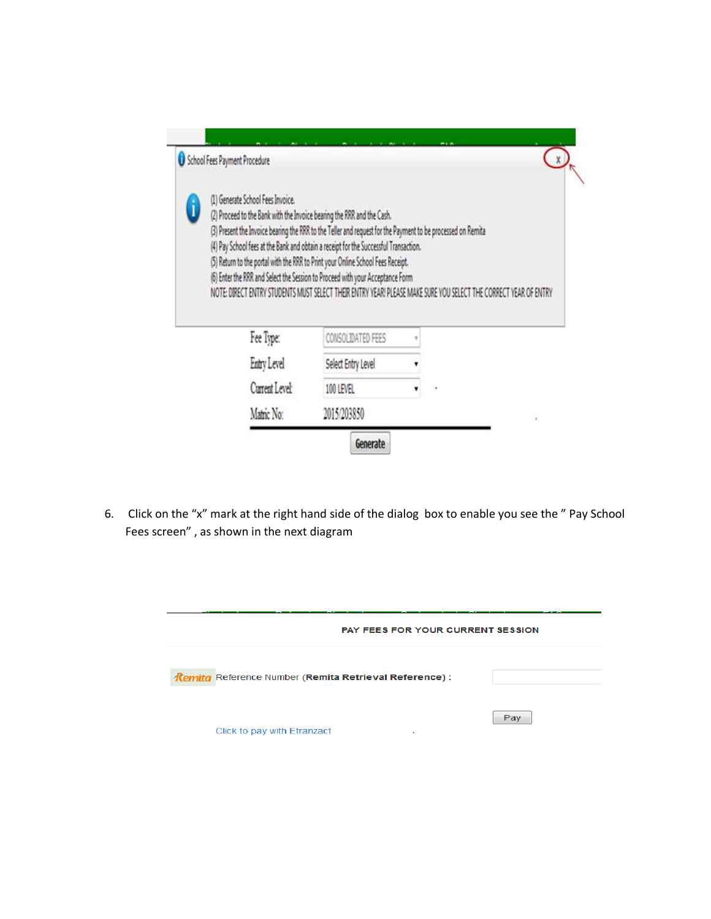|   | (1) Generate School Fees Invoice.                                                                                                                                                                   |                    |  |  |
|---|-----------------------------------------------------------------------------------------------------------------------------------------------------------------------------------------------------|--------------------|--|--|
| i | (2) Proceed to the Bank with the Invoice bearing the RRR and the Cash.                                                                                                                              |                    |  |  |
|   | (3) Present the Invoice bearing the RRR to the Teller and request for the Payment to be processed on Remita<br>(4) Pay School fees at the Bank and obtain a receipt for the Successful Transaction. |                    |  |  |
|   | (5) Return to the portal with the RRR to Print your Online School Fees Receipt.                                                                                                                     |                    |  |  |
|   |                                                                                                                                                                                                     |                    |  |  |
|   | (6) Enter the RRR and Select the Session to Proceed with your Acceptance Form                                                                                                                       |                    |  |  |
|   | NOTE: DIRECT ENTRY STUDENTS MUST SELECT THEIR ENTRY YEAR! PLEASE MAKE SURE YOU SELECT THE CORRECT YEAR OF ENTRY                                                                                     |                    |  |  |
|   | Fee Type:                                                                                                                                                                                           | CONSOLIDATED FEES  |  |  |
|   | Entry Level                                                                                                                                                                                         | Select Entry Level |  |  |
|   | Current Level:                                                                                                                                                                                      | 100 LEVEL          |  |  |

6. Click on the "x" mark at the right hand side of the dialog box to enable you see the " Pay School Fees screen" , as shown in the next diagram

|                                                        | <b>PAY FEES FOR YOUR CURRENT SESSION</b> |  |  |
|--------------------------------------------------------|------------------------------------------|--|--|
| Remita Reference Number (Remita Retrieval Reference) : |                                          |  |  |
| Click to pay with Etranzact<br>٠                       | Pay                                      |  |  |